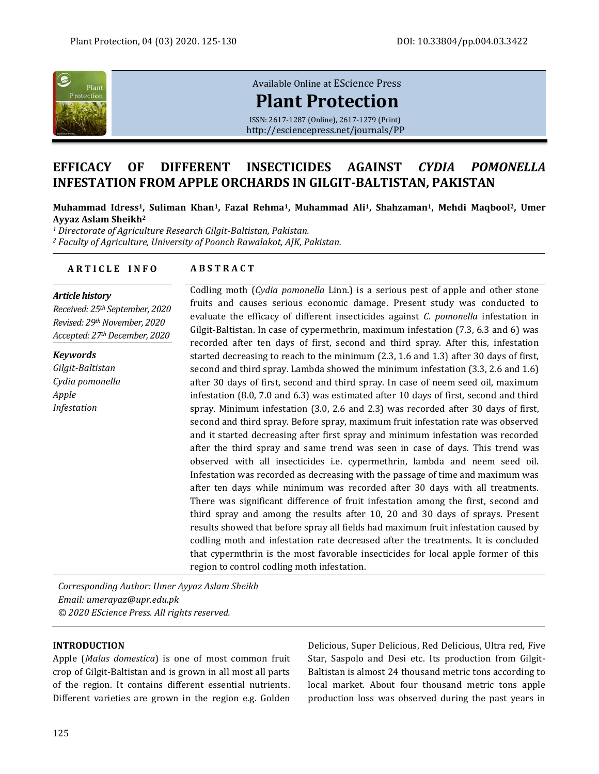

# [Available Online at](http://esciencepress.net/journals/PP) EScience Press **[Plant Protection](http://esciencepress.net/journals/PP)**

ISSN: 2617-1287 (Online), 2617-1279 (Print) <http://esciencepress.net/journals/PP>

# **EFFICACY OF DIFFERENT INSECTICIDES AGAINST** *CYDIA POMONELLA* **INFESTATION FROM APPLE ORCHARDS IN GILGIT-BALTISTAN, PAKISTAN**

**Muhammad Idress1, Suliman Khan1, Fazal Rehma1, Muhammad Ali1, Shahzaman1, Mehdi Maqbool2, Umer Ayyaz Aslam Sheikh<sup>2</sup>**

*<sup>1</sup> Directorate of Agriculture Research Gilgit-Baltistan, Pakistan. <sup>2</sup> Faculty of Agriculture, University of Poonch Rawalakot, AJK, Pakistan.*

# **A R T I C L E I N F O A B S T R A C T**

#### *Article history*

*Received: 25th September, 2020 Revised: 29thNovember, 2020 Accepted: 27thDecember, 2020*

*Keywords Gilgit-Baltistan Cydia pomonella Apple Infestation*

Codling moth (*Cydia pomonella* Linn.) is a serious pest of apple and other stone fruits and causes serious economic damage. Present study was conducted to evaluate the efficacy of different insecticides against *C. pomonella* infestation in Gilgit-Baltistan. In case of cypermethrin, maximum infestation (7.3, 6.3 and 6) was recorded after ten days of first, second and third spray. After this, infestation started decreasing to reach to the minimum (2.3, 1.6 and 1.3) after 30 days of first, second and third spray. Lambda showed the minimum infestation (3.3, 2.6 and 1.6) after 30 days of first, second and third spray. In case of neem seed oil, maximum infestation (8.0, 7.0 and 6.3) was estimated after 10 days of first, second and third spray. Minimum infestation (3.0, 2.6 and 2.3) was recorded after 30 days of first, second and third spray. Before spray, maximum fruit infestation rate was observed and it started decreasing after first spray and minimum infestation was recorded after the third spray and same trend was seen in case of days. This trend was observed with all insecticides i.e. cypermethrin, lambda and neem seed oil. Infestation was recorded as decreasing with the passage of time and maximum was after ten days while minimum was recorded after 30 days with all treatments. There was significant difference of fruit infestation among the first, second and third spray and among the results after 10, 20 and 30 days of sprays. Present results showed that before spray all fields had maximum fruit infestation caused by codling moth and infestation rate decreased after the treatments. It is concluded that cypermthrin is the most favorable insecticides for local apple former of this region to control codling moth infestation.

*Corresponding Author: Umer Ayyaz Aslam Sheikh Email: umerayaz@upr.edu.pk © 2020 EScience Press. All rights reserved.*

#### **INTRODUCTION**

Apple (*Malus domestica*) is one of most common fruit crop of Gilgit-Baltistan and is grown in all most all parts of the region. It contains different essential nutrients. Different varieties are grown in the region e.g. Golden

Delicious, Super Delicious, Red Delicious, Ultra red, Five Star, Saspolo and Desi etc. Its production from Gilgit-Baltistan is almost 24 thousand metric tons according to local market. About four thousand metric tons apple production loss was observed during the past years in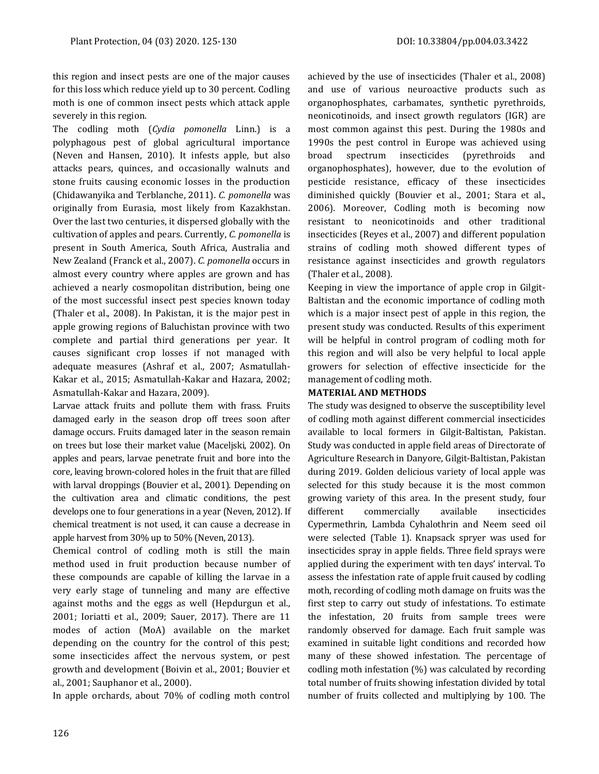this region and insect pests are one of the major causes for this loss which reduce yield up to 30 percent. Codling moth is one of common insect pests which attack apple severely in this region.

The codling moth (*Cydia pomonella* Linn.) is a polyphagous pest of global agricultural importance (Neven and Hansen, 2010). It infests apple, but also attacks pears, quinces, and occasionally walnuts and stone fruits causing economic losses in the production (Chidawanyika and Terblanche, 2011). *C. pomonella* was originally from Eurasia, most likely from Kazakhstan. Over the last two centuries, it dispersed globally with the cultivation of apples and pears. Currently, *C. pomonella* is present in South America, South Africa, Australia and New Zealand (Franck et al., 2007). *C. pomonella* occurs in almost every country where apples are grown and has achieved a nearly cosmopolitan distribution, being one of the most successful insect pest species known today (Thaler et al., 2008). In Pakistan, it is the major pest in apple growing regions of Baluchistan province with two complete and partial third generations per year. It causes significant crop losses if not managed with adequate measures (Ashraf et al., 2007; Asmatullah-Kakar et al., 2015; Asmatullah-Kakar and Hazara, 2002; Asmatullah-Kakar and Hazara, 2009).

Larvae attack fruits and pollute them with frass. Fruits damaged early in the season drop off trees soon after damage occurs. Fruits damaged later in the season remain on trees but lose their market value (Maceljski, 2002). On apples and pears, larvae penetrate fruit and bore into the core, leaving brown-colored holes in the fruit that are filled with larval droppings (Bouvier et al., 2001). Depending on the cultivation area and climatic conditions, the pest develops one to four generations in a year (Neven, 2012). If chemical treatment is not used, it can cause a decrease in apple harvest from 30% up to 50% (Neven, 2013).

Chemical control of codling moth is still the main method used in fruit production because number of these compounds are capable of killing the larvae in a very early stage of tunneling and many are effective against moths and the eggs as well (Hepdurgun et al., 2001; Ioriatti et al., 2009; Sauer, 2017). There are 11 modes of action (MoA) available on the market depending on the country for the control of this pest; some insecticides affect the nervous system, or pest growth and development (Boivin et al., 2001; Bouvier et al., 2001; Sauphanor et al., 2000).

In apple orchards, about 70% of codling moth control

achieved by the use of insecticides (Thaler et al., 2008) and use of various neuroactive products such as organophosphates, carbamates, synthetic pyrethroids, neonicotinoids, and insect growth regulators (IGR) are most common against this pest. During the 1980s and 1990s the pest control in Europe was achieved using broad spectrum insecticides (pyrethroids and organophosphates), however, due to the evolution of pesticide resistance, efficacy of these insecticides diminished quickly (Bouvier et al., 2001; Stara et al., 2006). Moreover, Codling moth is becoming now resistant to neonicotinoids and other traditional insecticides (Reyes et al., 2007) and different population strains of codling moth showed different types of resistance against insecticides and growth regulators (Thaler et al., 2008).

Keeping in view the importance of apple crop in Gilgit-Baltistan and the economic importance of codling moth which is a major insect pest of apple in this region, the present study was conducted. Results of this experiment will be helpful in control program of codling moth for this region and will also be very helpful to local apple growers for selection of effective insecticide for the management of codling moth.

# **MATERIAL AND METHODS**

The study was designed to observe the susceptibility level of codling moth against different commercial insecticides available to local formers in Gilgit-Baltistan, Pakistan. Study was conducted in apple field areas of Directorate of Agriculture Research in Danyore, Gilgit-Baltistan, Pakistan during 2019. Golden delicious variety of local apple was selected for this study because it is the most common growing variety of this area. In the present study, four different commercially available insecticides Cypermethrin, Lambda Cyhalothrin and Neem seed oil were selected (Table 1). Knapsack spryer was used for insecticides spray in apple fields. Three field sprays were applied during the experiment with ten days' interval. To assess the infestation rate of apple fruit caused by codling moth, recording of codling moth damage on fruits was the first step to carry out study of infestations. To estimate the infestation, 20 fruits from sample trees were randomly observed for damage. Each fruit sample was examined in suitable light conditions and recorded how many of these showed infestation. The percentage of codling moth infestation (%) was calculated by recording total number of fruits showing infestation divided by total number of fruits collected and multiplying by 100. The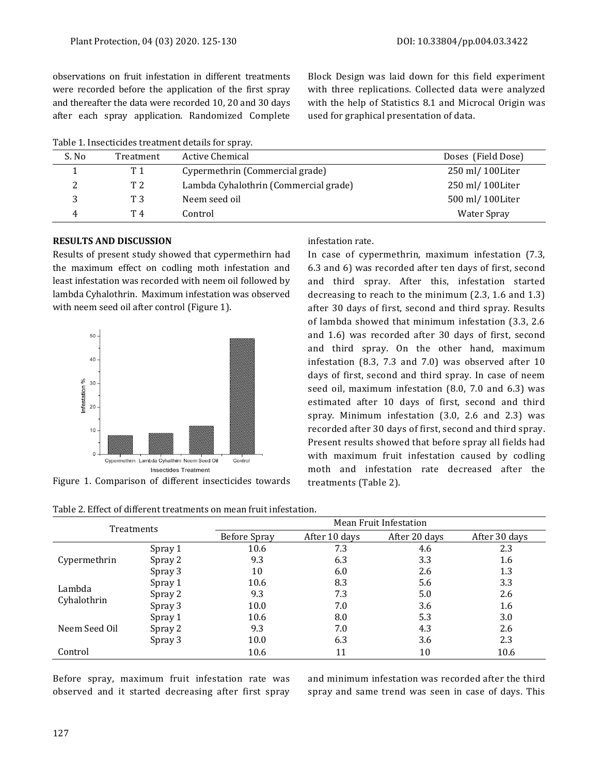observations on fruit infestation in different treatments were recorded before the application of the first spray and thereafter the data were recorded 10, 20 and 30 days after each spray application. Randomized Complete

Table 1. Insecticides treatment details for spray.

Block Design was laid down for this field experiment with three replications. Collected data were analyzed with the help of Statistics 8.1 and Microcal Origin was used for graphical presentation of data.

| Table 1. moccuciuco d'éduncit actano foi optay. |                |                                       |                    |  |  |  |
|-------------------------------------------------|----------------|---------------------------------------|--------------------|--|--|--|
| S. No                                           | Treatment      | Active Chemical                       | Doses (Field Dose) |  |  |  |
|                                                 | T1             | Cypermethrin (Commercial grade)       | 250 ml/100Liter    |  |  |  |
|                                                 | T <sub>2</sub> | Lambda Cyhalothrin (Commercial grade) | 250 ml/100Liter    |  |  |  |
|                                                 | T 3            | Neem seed oil                         | 500 ml/100Liter    |  |  |  |
| 4                                               | T 4            | Control                               | Water Spray        |  |  |  |

# **RESULTS AND DISCUSSION**

Results of present study showed that cypermethirn had the maximum effect on codling moth infestation and least infestation was recorded with neem oil followed by lambda Cyhalothrin. Maximum infestation was observed with neem seed oil after control (Figure 1).



Figure 1. Comparison of different insecticides towards

#### Table 2. Effect of different treatments on mean fruit infestation.

## infestation rate.

In case of cypermethrin, maximum infestation (7.3, 6.3 and 6) was recorded after ten days of first, second and third spray. After this, infestation started decreasing to reach to the minimum (2.3, 1.6 and 1.3) after 30 days of first, second and third spray. Results of lambda showed that minimum infestation (3.3, 2.6 and 1.6) was recorded after 30 days of first, second and third spray. On the other hand, maximum infestation (8.3, 7.3 and 7.0) was observed after 10 days of first, second and third spray. In case of neem seed oil, maximum infestation (8.0, 7.0 and 6.3) was estimated after 10 days of first, second and third spray. Minimum infestation (3.0, 2.6 and 2.3) was recorded after 30 days of first, second and third spray. Present results showed that before spray all fields had with maximum fruit infestation caused by codling moth and infestation rate decreased after the treatments (Table 2).

| <b>Treatments</b> |         | Mean Fruit Infestation |               |               |               |
|-------------------|---------|------------------------|---------------|---------------|---------------|
|                   |         | <b>Before Spray</b>    | After 10 days | After 20 days | After 30 days |
|                   | Spray 1 | 10.6                   | 7.3           | 4.6           | 2.3           |
| Cypermethrin      | Spray 2 | 9.3                    | 6.3           | 3.3           | 1.6           |
|                   | Spray 3 | 10                     | 6.0           | 2.6           | 1.3           |
| Lambda            | Spray 1 | 10.6                   | 8.3           | 5.6           | 3.3           |
| Cyhalothrin       | Spray 2 | 9.3                    | 7.3           | 5.0           | 2.6           |
|                   | Spray 3 | 10.0                   | 7.0           | 3.6           | 1.6           |
|                   | Spray 1 | 10.6                   | 8.0           | 5.3           | 3.0           |
| Neem Seed Oil     | Spray 2 | 9.3                    | 7.0           | 4.3           | 2.6           |
|                   | Spray 3 | 10.0                   | 6.3           | 3.6           | 2.3           |
| Control           |         | 10.6                   | 11            | 10            | 10.6          |

Before spray, maximum fruit infestation rate was observed and it started decreasing after first spray and minimum infestation was recorded after the third spray and same trend was seen in case of days. This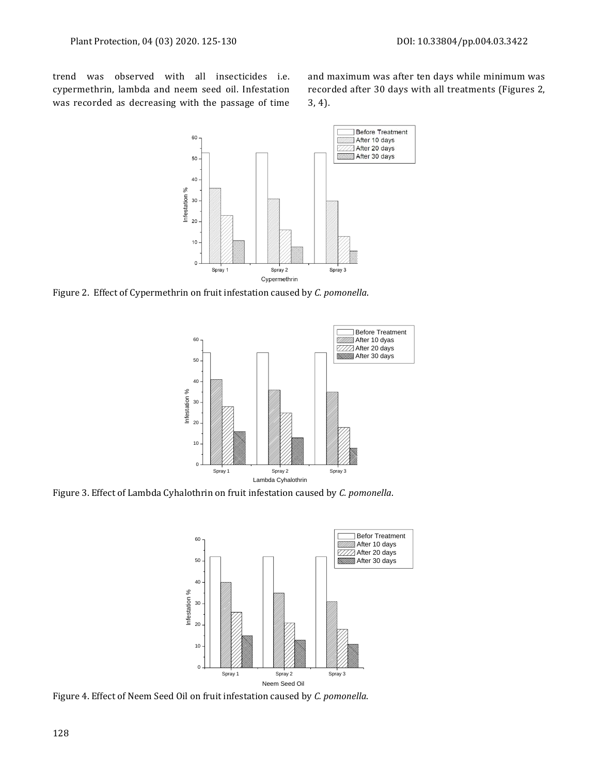trend was observed with all insecticides i.e. cypermethrin, lambda and neem seed oil. Infestation was recorded as decreasing with the passage of time and maximum was after ten days while minimum was recorded after 30 days with all treatments (Figures 2, 3, 4).



Figure 2. Effect of Cypermethrin on fruit infestation caused by *C. pomonella*.



Figure 3. Effect of Lambda Cyhalothrin on fruit infestation caused by *C. pomonella*.



Figure 4. Effect of Neem Seed Oil on fruit infestation caused by *C. pomonella*.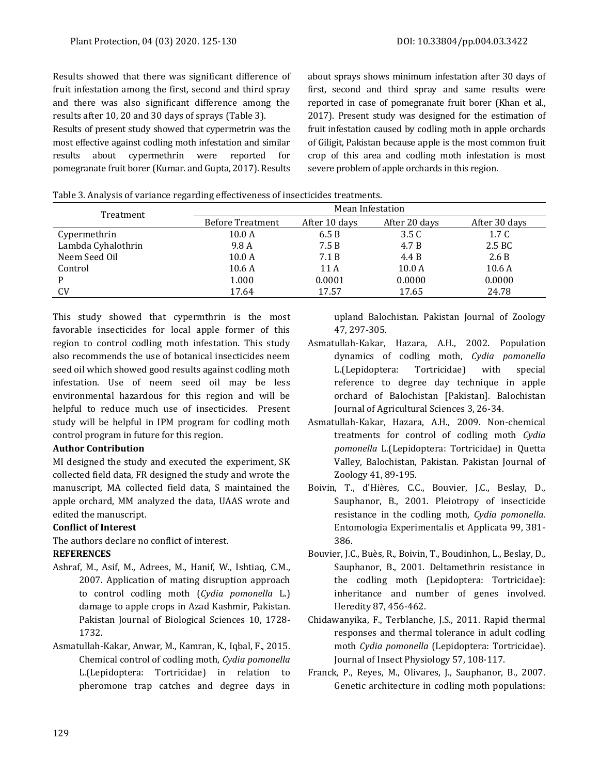Results showed that there was significant difference of fruit infestation among the first, second and third spray and there was also significant difference among the results after 10, 20 and 30 days of sprays (Table 3).

Results of present study showed that cypermetrin was the most effective against codling moth infestation and similar results about cypermethrin were reported for pomegranate fruit borer (Kumar. and Gupta, 2017). Results about sprays shows minimum infestation after 30 days of first, second and third spray and same results were reported in case of pomegranate fruit borer (Khan et al., 2017). Present study was designed for the estimation of fruit infestation caused by codling moth in apple orchards of Giligit, Pakistan because apple is the most common fruit crop of this area and codling moth infestation is most severe problem of apple orchards in this region.

|  |  |  | Table 3. Analysis of variance regarding effectiveness of insecticides treatments. |  |
|--|--|--|-----------------------------------------------------------------------------------|--|
|  |  |  |                                                                                   |  |
|  |  |  |                                                                                   |  |
|  |  |  |                                                                                   |  |

| Treatment          | Mean Infestation        |               |                   |               |
|--------------------|-------------------------|---------------|-------------------|---------------|
|                    | <b>Before Treatment</b> | After 10 days | After 20 days     | After 30 days |
| Cypermethrin       | 10.0 A                  | 6.5B          | 3.5 <sub>C</sub>  | 1.7 C         |
| Lambda Cyhalothrin | 9.8 A                   | 7.5B          | 4.7 B             | 2.5 BC        |
| Neem Seed Oil      | 10.0 <sub>A</sub>       | 7.1 B         | 4.4 B             | 2.6 B         |
| Control            | 10.6A                   | 11 A          | 10.0 <sub>A</sub> | 10.6A         |
|                    | 1.000                   | 0.0001        | 0.0000            | 0.0000        |
| <b>CV</b>          | 17.64                   | 17.57         | 17.65             | 24.78         |

This study showed that cypermthrin is the most favorable insecticides for local apple former of this region to control codling moth infestation. This study also recommends the use of botanical insecticides neem seed oil which showed good results against codling moth infestation. Use of neem seed oil may be less environmental hazardous for this region and will be helpful to reduce much use of insecticides. Present study will be helpful in IPM program for codling moth control program in future for this region.

#### **Author Contribution**

MI designed the study and executed the experiment, SK collected field data, FR designed the study and wrote the manuscript, MA collected field data, S maintained the apple orchard, MM analyzed the data, UAAS wrote and edited the manuscript.

## **Conflict of Interest**

The authors declare no conflict of interest.

### **REFERENCES**

- Ashraf, M., Asif, M., Adrees, M., Hanif, W., Ishtiaq, C.M., 2007. Application of mating disruption approach to control codling moth (*Cydia pomonella* L.) damage to apple crops in Azad Kashmir, Pakistan. Pakistan Journal of Biological Sciences 10, 1728- 1732.
- Asmatullah-Kakar, Anwar, M., Kamran, K., Iqbal, F., 2015. Chemical control of codling moth, *Cydia pomonella* L.(Lepidoptera: Tortricidae) in relation to pheromone trap catches and degree days in

upland Balochistan. Pakistan Journal of Zoology 47, 297-305.

- Asmatullah-Kakar, Hazara, A.H., 2002. Population dynamics of codling moth, *Cydia pomonella*  L.(Lepidoptera: Tortricidae) with special reference to degree day technique in apple orchard of Balochistan [Pakistan]. Balochistan Journal of Agricultural Sciences 3, 26-34.
- Asmatullah-Kakar, Hazara, A.H., 2009. Non-chemical treatments for control of codling moth *Cydia pomonella* L.(Lepidoptera: Tortricidae) in Quetta Valley, Balochistan, Pakistan. Pakistan Journal of Zoology 41, 89-195.
- Boivin, T., d'Hières, C.C., Bouvier, J.C., Beslay, D., Sauphanor, B., 2001. Pleiotropy of insecticide resistance in the codling moth, *Cydia pomonella*. Entomologia Experimentalis et Applicata 99, 381- 386.
- Bouvier, J.C., Buès, R., Boivin, T., Boudinhon, L., Beslay, D., Sauphanor, B., 2001. Deltamethrin resistance in the codling moth (Lepidoptera: Tortricidae): inheritance and number of genes involved. Heredity 87, 456-462.
- Chidawanyika, F., Terblanche, J.S., 2011. Rapid thermal responses and thermal tolerance in adult codling moth *Cydia pomonella* (Lepidoptera: Tortricidae). Journal of Insect Physiology 57, 108-117.
- Franck, P., Reyes, M., Olivares, J., Sauphanor, B., 2007. Genetic architecture in codling moth populations: